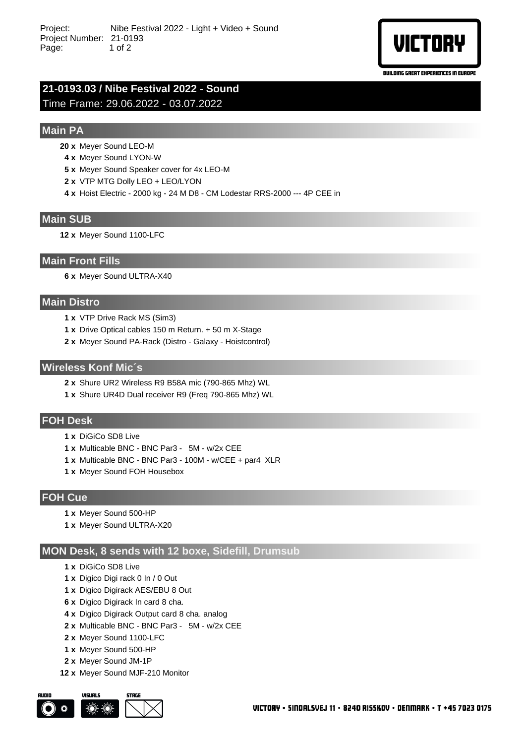

BUILDING GREAT EXPERIENCES IN EUROPE

# **21-0193.03 / Nibe Festival 2022 - Sound** Time Frame: 29.06.2022 - 03.07.2022

## **Main PA**

- **20 x** Meyer Sound LEO-M
- **4 x** Meyer Sound LYON-W
- **5 x** Meyer Sound Speaker cover for 4x LEO-M
- **2 x** VTP MTG Dolly LEO + LEO/LYON
- **4 x** Hoist Electric 2000 kg 24 M D8 CM Lodestar RRS-2000 --- 4P CEE in

#### **Main SUB**

**12 x** Meyer Sound 1100-LFC

#### **Main Front Fills**

**6 x** Meyer Sound ULTRA-X40

#### **Main Distro**

- **1 x** VTP Drive Rack MS (Sim3)
- **1 x** Drive Optical cables 150 m Return. + 50 m X-Stage
- **2 x** Meyer Sound PA-Rack (Distro Galaxy Hoistcontrol)

#### **Wireless Konf Mic´s**

- **2 x** Shure UR2 Wireless R9 B58A mic (790-865 Mhz) WL
- **1 x** Shure UR4D Dual receiver R9 (Freq 790-865 Mhz) WL

## **FOH Desk**

- **1 x** DiGiCo SD8 Live
- **1 x** Multicable BNC BNC Par3 5M w/2x CEE
- **1 x** Multicable BNC BNC Par3 100M w/CEE + par4 XLR
- **1 x** Meyer Sound FOH Housebox

## **FOH Cue**

- **1 x** Meyer Sound 500-HP
- **1 x** Meyer Sound ULTRA-X20

## **MON Desk, 8 sends with 12 boxe, Sidefill, Drumsub**

- **1 x** DiGiCo SD8 Live
- **1 x** Digico Digi rack 0 In / 0 Out
- **1 x** Digico Digirack AES/EBU 8 Out
- **6 x** Digico Digirack In card 8 cha.
- **4 x** Digico Digirack Output card 8 cha. analog
- **2 x** Multicable BNC BNC Par3 5M w/2x CEE
- **2 x** Meyer Sound 1100-LFC
- **1 x** Meyer Sound 500-HP
- **2 x** Meyer Sound JM-1P
- **12 x** Meyer Sound MJF-210 Monitor